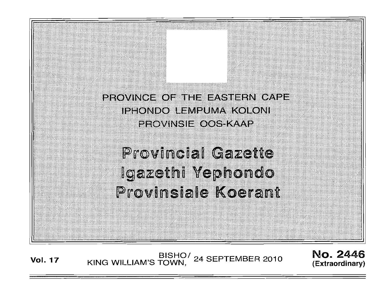PROVINCE OF THE EASTERN CAPE. IPHONDO LEMPUMA KOLONI **PROVINSIE OOS-KAAP** 

**Provincial Gazette** Igazethi Yephondo Provinsiale Koerant

**Vol. 17** BISHOI - KING WILLIAM'S **TOWN** 24 SEP rEMBER 2010 , No. 2446

**(Extraordinary)**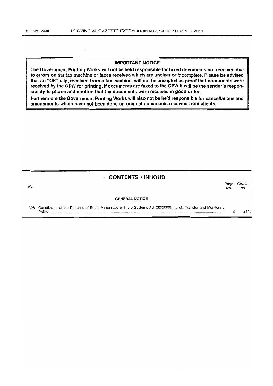#### IMPORTANT NOTICE

The Government Printing Works will not be held responsible for faxed documents not received due to errors on the fax machine or faxes received which are unclear or incomplete. Please be advised that an "OK" slip, received from a fax machine, will not be accepted as proof that documents were received by the GPW for printing. If documents are faxed to the GPW it will be the sender's responsibility to phone and confirm that the documents were received in good order.

Furthermore the Government Printing Works will also not be held responsible for cancellations and amendments which have not been done on original documents received from clients.

## CONTENTS • INHOUD

no.<br>No. Page Gazette No. No.

#### GENERAL NOTICE

 $\ddot{\phantom{a}}$ 

306 Constitution of the Republic of South Africa read with the Systems Act (32/2000): Funds Transfer and Monitoring Policy ............................................................................................................................................................................ . 3 2446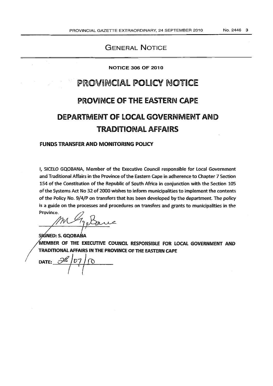## GENERAL NOTICE

## NOTICE 306 OF 2010

# **PROVINCIAL POLICY NOTICE** PROVINCE OF THE EASTERN CAPE DEPARTMENT **OF** lOCAL GOVERNMENT AND TRADITIONAL AFfAIRS

## FUNDS TRANSFER AND MONITORING POLICY

I, SICELO GQOBANA, Member of the Executive Council responsible for local Government and Traditional Affairs in the Province of the Eastern Cape in adherence to Chapter 7 Section 154 of the Constitution of the Republic of South Africa in conjunction with the Section 105 of the Systems Act No 32 of 2000 wishes to inform municipalities to implement the contents of the Policy No. 9/4/P on transfers that has been developed by the department. The pollcy is a guide on the processes and procedures on transfers and grants to municipalities in the Province.

SIGNED: S. GQOBANA MEMBER OF THE EXECUTIVE COUNCIL RESPONSIBLE FOR LOCAL GOVERNMENT AND TRADITIONAL AFFAIRS IN THE PROVINCE OF THE EASTERN CAPE

 $\sqrt{\frac{2g}{D}}$  DATE:  $\frac{2g}{D}$   $\frac{1}{D}$ *r* 1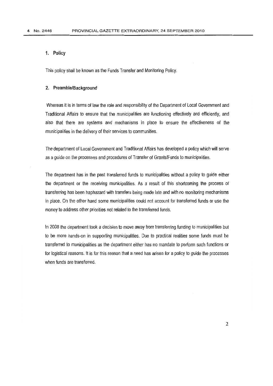#### **1. Policy**

This policy shall be known as the Funds Transfer and Monitoring Policy.

#### **2. Preamble/Background**

Whereas it is in terms of law the role and responsibility of the Department of local Government and Traditional Affairs to ensure that the municipalities are functioning effectively and efficiently, and also that there are systems and mechanisms in place to ensure the effectiveness of the municipalities in the delivery of their services to communities.

The department of local Government and Traditional Affairs has developed a policy which will serve as a guide on the processes and procedures of Transfer of Grants/Funds to municipalities.

The department has in the past transferred funds to municipalities without a policy to guide either the department or the receiving municipalities. As a result of this shortcoming the process of transferring has been haphazard with transfers being made late and with no monitoring mechanisms in place. On the other hand some municipalities could not account for transferred funds or use the money to address other priorities not related to the transferred funds.

In 2008 the department took a decision to move away from transferring funding to municipalities but to be more hands-on in supporting municipalities. Due to practical realities some funds must be transferred to municipalities as the department either has no mandate to perform such functions or for logistical reasons. It is for this reason that a need has arisen for a policy to guide the processes when funds are transferred.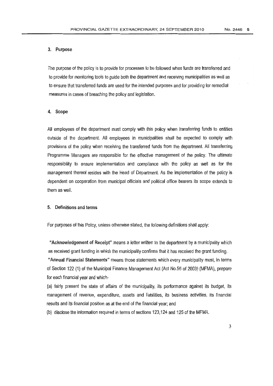#### 3. Purpose

The purpose of the policy is to provide for processes to be followed when funds are transferred and to provide for monitoring tools to guide both the department and receiving municipalities as well as to ensure that transferred funds are used for the intended purposes and for providing for remedial measures in cases of breaching the policy and legislation.

#### 4. Scope

All employees of the department must comply with this policy when transferring funds to entities outside of the department. All employees in municipalities shall be expected to comply with provisions of the policy when receiving the transferred funds from the department. All transferring Programme Managers are responsible for the effective management of the policy. The ultimate responsibility to ensure implementation and compliance with the poticy as well as for the management thereof resides with the Head of Department. As the implementation of the policy is dependent on cooperation from municipal officials and political office bearers its scope extends to them as well.

#### 5. Definitions and terms

For purposes of this Policy, unless otherwise stated, the following definitions shall apply:

"Acknowledgement of Receipt" means a letter written to the department by a municipality which as received grant funding in which the municipality confirms that it has received the grant funding.

"Annual Financial Statements" means those statements which every municipality must, in terms of Section 122 (1) of the Municipal Finance Management Act (Act No.56 of 2003) (MFMA), prepare for each financial year and which-

(a) fairly present the state of affairs of the municipality, its performance against its budget, its management of revenue, expenditure, assets and liabilities, its business activities, its financial results and its financial position as at the end of the financial year; and

(b) disclose the information required in terms of sections 123,124 and 125 of the MFMA.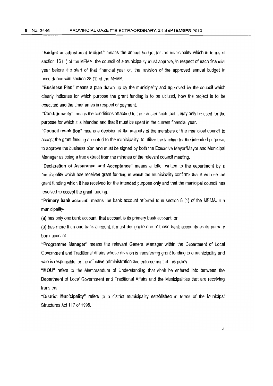"Budget or adjustment budget" means the annual budget for the municipality which in terms of section 16 (1) of the MFMA. the council of a municipality must approve, in respect of each financial year before the start of that financial year or, the revision of the approved annual budget in accordance with section 28 (1) of the MFMA.

"Business Plan" means a plan drawn up by the municipality and approved by the council which ciearly indicates for which purpose the grant funding is to be utilized, how the project is to be executed and the timeframes in respect of payment.

"Conditionality" means the conditions attached to the transfer such that it may only be used for the purpose for which it is intended and that it must be spent in the current financial year.

"Council resolution" means a decision of the majority of the members of the municipal council to accept the grant funding allocated to the municipality, to utilize the funding for the intended purpose, to approve the business plan and must be signed by both the Executive Mayor/Mayor and Municipal Manager as being a true extract from the minutes of the relevant council meeting.

"Declaration of Assurance and Acceptance" means a letter written to the department by a municipality which has received grant funding in which the municipality confirms that it will use the grant funding which it has received for the intended purpose only and that the municipal council has resolved to accept the grant funding.

"Primary banlt account" means the bank account referred to in section 8 (1) of the MFMA. If a municipality-

(a) has only one bank account, that account is its primary bank account; or

(b) has more than one bank account, it must designate one of those bank accounts as its primary bank account.

"Programme Manager" means the relevant General Manager within the Department of Local Government and Traditional Affairs whose division is transferring grant funding to a municipality and who is responsible for the effective administration and enforcement of this policy.

"MOU" refers to the Memorandum of Understanding that shall be entered into between the Department of Local Government and Traditional Affairs and the Municipalities that are receiving transfers.

"District MuniCipality" refers to a district municipality established in terms of the Municipal Structures Act 117 of 1998.

4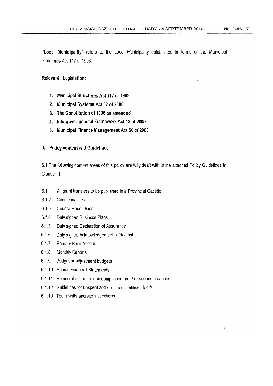"Local Municipality" refers to the Local Municipality established in terms of the Municipal Structures Act 117 of 1998.

## Relevant Legislation:

- 1. Municipal Structures Act 117 of 1998
- 2. Municipal Systems Act 32 of 2000
- 3. The Constitution of 1996 as amended
- 4. Intergovernmental Framework Act 13 of 2005
- 5. Municipal Finance Management Act 56 of 2003

### 6. Policy content and Guidelines

6.1 The following content areas of this policy are fully dealt with in the attached Policy Guidelines in Clause 11:

- 6.1.1 All grant transfers to be published in a Provincial Gazette
- 6.1.2 Conditionalities
- 6.1.3 Council Resolutions
- 6.1.4 Duly signed Business Plans
- 6,1.5 Duly signed Declaration of Assurance
- 6.1.6 Duly signed Acknowledgement of Receipt
- 6.1.7 Primary Bank Account
- 6.1.8 Monthly Reports
- 6.1,9 Budget or adjustment budgets
- 6.1.10 Annual Financial Statements
- 6.1.11 Remedial action for non compliance and / or serious breaches
- 6.1.12 Guidelines for unspent and / or under utilised funds
- 6.1.13 Team visits and site inspections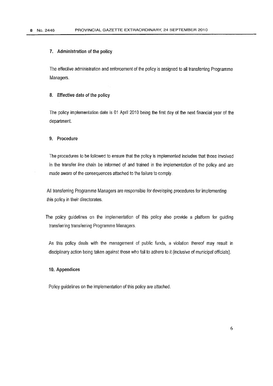#### 7. Administration of the policy

The effective administration and enforcement of the policy is assigned to all transferring Programme Managers.

#### 8. Effective date of the policy

The policy implementation date is 01 April 2010 being the first day of the next financial year of the department.

#### 9. Procedure

The procedures to be followed to ensure that the policy is implemented includes that those involved in the transfer line chain be informed of and trained in the implementation of the policy and are made aware of the consequences attached to the failure to comply.

All transferring Programme Managers are responsible for developing procedures for implementing this policy in their directorates.

The policy guidelines on the implementation of this policy also provide a platform for guiding transferring transferring Programme Managers.

As this policy deals with the management of public funds, a violation thereof may result in disciplinary action being taken against those who fail to adhere to it (inclusive of municipal officials).

#### 10. Appendices

Policy guidelines on the implementation of this policy are attached.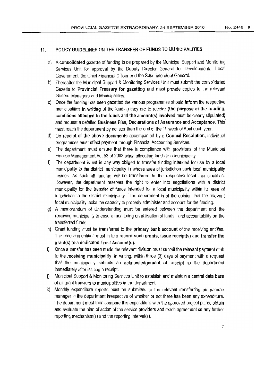## 11. POLICY GUIDELINES ON THE TRANSFER OF FUNDS TO MUNICIPALITIES

- a) A consolidated gazette of funding to be prepared by the Municipal Support and Monitoring Services Unit for approval by the Deputy Director General for Developmental Local Government. the Chief Financial Officer and the Superintendent General.
- b) Thereafter the Municipal Support & Monitoring Services Unit must submit the consolidated Gazette to Provincial Treasury for gazetting and must provide copies to the relevant General Managers and Municipalities.
- c) Once the funding has been gazetted the various programmes should inform the respective municipalities in writing of the funding they are to receive (the purpose of the funding, conditions attached to the funds and the amount(s) involved must be clearly stipulated) and request a detailed Business Plan, Declarations of Assurance and Acceptance. This must reach the department by no later than the end of the 1<sup>st</sup> week of April each year.
- d) On receipt of the above documents accompanied by a Council Resolution, individual programmes must effect payment through Financial Accounting Services.
- e) The department must ensure that there is compliance with provisions of the Municipal Finance Management Act 53 of 2003 when allocating funds to a municipality.
- f) The department is not in any way obliged to transfer funding intended for use by a local municipality to the district municipality in whose area of jurisdiction such local municipality resides. As such all funding will be transferred to the respective local municipalities. However, the department reserves the right to enter into negotiations with a district municipality for the transfer of funds intended for a local municipality within its area of jurisdiction to the district municipality if the department is of the opinion that the relevant local municipality lacks the capacity to properly administer and account for the funding.
- g) A memorandum of Understanding must be entered between the department and the receiving municipality to ensure monitoring on utilisation of funds and accountabirityon the transferred funds.
- h) Grant funding must be transferred to the **primary bank account** of the receiving entities. The receiving entities must in turn record such grants, issue receipt(s) and transfer the grant(s) to a dedicated Trust Account(s).
- i) Once a transfer has been made the relevant division must submit the relevant payment stub to the receiving municipality, in writing, within three (3) days of payment with a request that the municipality submits an acknowledgement of receipt to the department immediately after issuing a receipt.
- j) Municipal Support & Monitoring Services Unit to establish and maintain a central data base of all grant transfers to municipalities in the department.
- k} Monthly expenditure reports must be submitted to the relevant transferring programme manager in the department irrespective of whether or not there has been any expenditure. The department must then compare this expenditure with the approved project plans, obtain and evaluate the plan of action of the service providers and reach agreement on any further reporting mechanism(s) and the reporting interval{s).